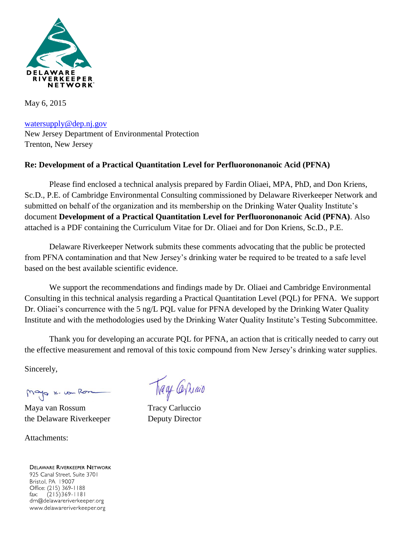

May 6, 2015

[watersupply@dep.nj.gov](mailto:watersupply@dep.nj.gov) New Jersey Department of Environmental Protection Trenton, New Jersey

# **Re: Development of a Practical Quantitation Level for Perfluorononanoic Acid (PFNA)**

Please find enclosed a technical analysis prepared by Fardin Oliaei, MPA, PhD, and Don Kriens, Sc.D., P.E. of Cambridge Environmental Consulting commissioned by Delaware Riverkeeper Network and submitted on behalf of the organization and its membership on the Drinking Water Quality Institute's document **Development of a Practical Quantitation Level for Perfluorononanoic Acid (PFNA)**. Also attached is a PDF containing the Curriculum Vitae for Dr. Oliaei and for Don Kriens, Sc.D., P.E.

Delaware Riverkeeper Network submits these comments advocating that the public be protected from PFNA contamination and that New Jersey's drinking water be required to be treated to a safe level based on the best available scientific evidence.

We support the recommendations and findings made by Dr. Oliaei and Cambridge Environmental Consulting in this technical analysis regarding a Practical Quantitation Level (PQL) for PFNA. We support Dr. Oliaei's concurrence with the 5 ng/L PQL value for PFNA developed by the Drinking Water Quality Institute and with the methodologies used by the Drinking Water Quality Institute's Testing Subcommittee.

Thank you for developing an accurate PQL for PFNA, an action that is critically needed to carry out the effective measurement and removal of this toxic compound from New Jersey's drinking water supplies.

Sincerely,

Mayo K. von Ro

Maya van Rossum Tracy Carluccio the Delaware Riverkeeper Deputy Director

Attachments:

**DELAWARE RIVERKEEPER NETWORK** 925 Canal Street, Suite 3701 Bristol, PA 19007 Office: (215) 369-1188  $(215)369 - 1181$ fax: drn@delawareriverkeeper.org www.delawareriverkeeper.org

Trage Carriago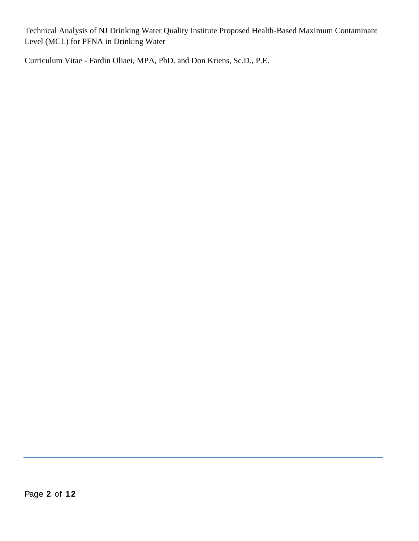Technical Analysis of NJ Drinking Water Quality Institute Proposed Health-Based Maximum Contaminant Level (MCL) for PFNA in Drinking Water

Curriculum Vitae - Fardin Oliaei, MPA, PhD. and Don Kriens, Sc.D., P.E.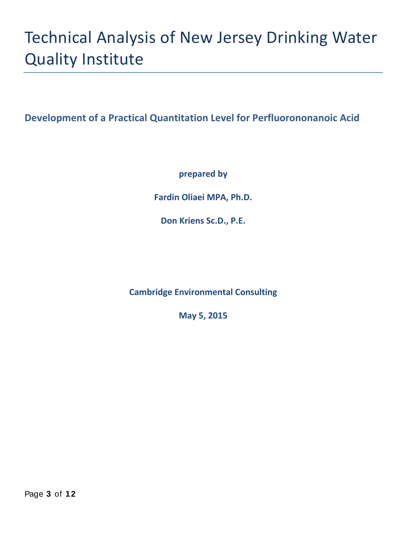# Technical Analysis of New Jersey Drinking Water Quality Institute

**Development of a Practical Quantitation Level for Perfluorononanoic Acid**

**prepared by** 

**Fardin Oliaei MPA, Ph.D.** 

**Don Kriens Sc.D., P.E.**

**Cambridge Environmental Consulting**

**May 5, 2015**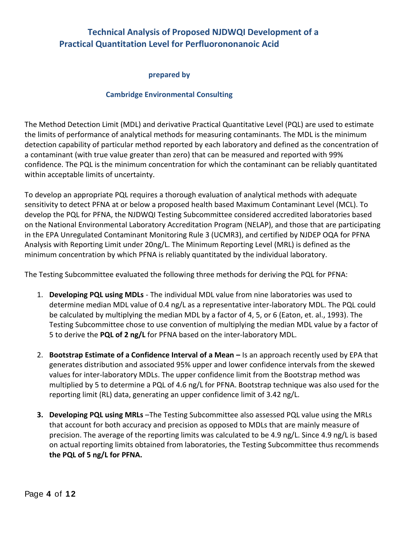# **Technical Analysis of Proposed NJDWQI Development of a Practical Quantitation Level for Perfluorononanoic Acid**

#### **prepared by**

#### **Cambridge Environmental Consulting**

The Method Detection Limit (MDL) and derivative Practical Quantitative Level (PQL) are used to estimate the limits of performance of analytical methods for measuring contaminants. The MDL is the minimum detection capability of particular method reported by each laboratory and defined as the concentration of a contaminant (with true value greater than zero) that can be measured and reported with 99% confidence. The PQL is the minimum concentration for which the contaminant can be reliably quantitated within acceptable limits of uncertainty.

To develop an appropriate PQL requires a thorough evaluation of analytical methods with adequate sensitivity to detect PFNA at or below a proposed health based Maximum Contaminant Level (MCL). To develop the PQL for PFNA, the NJDWQI Testing Subcommittee considered accredited laboratories based on the National Environmental Laboratory Accreditation Program (NELAP), and those that are participating in the EPA Unregulated Contaminant Monitoring Rule 3 (UCMR3), and certified by NJDEP OQA for PFNA Analysis with Reporting Limit under 20ng/L. The Minimum Reporting Level (MRL) is defined as the minimum concentration by which PFNA is reliably quantitated by the individual laboratory.

The Testing Subcommittee evaluated the following three methods for deriving the PQL for PFNA:

- 1. **Developing PQL using MDLs** The individual MDL value from nine laboratories was used to determine median MDL value of 0.4 ng/L as a representative inter-laboratory MDL. The PQL could be calculated by multiplying the median MDL by a factor of 4, 5, or 6 (Eaton, et. al., 1993). The Testing Subcommittee chose to use convention of multiplying the median MDL value by a factor of 5 to derive the **PQL of 2 ng/L** for PFNA based on the inter-laboratory MDL.
- 2. **Bootstrap Estimate of a Confidence Interval of a Mean –** Is an approach recently used by EPA that generates distribution and associated 95% upper and lower confidence intervals from the skewed values for inter-laboratory MDLs. The upper confidence limit from the Bootstrap method was multiplied by 5 to determine a PQL of 4.6 ng/L for PFNA. Bootstrap technique was also used for the reporting limit (RL) data, generating an upper confidence limit of 3.42 ng/L.
- **3. Developing PQL using MRLs** –The Testing Subcommittee also assessed PQL value using the MRLs that account for both accuracy and precision as opposed to MDLs that are mainly measure of precision. The average of the reporting limits was calculated to be 4.9 ng/L. Since 4.9 ng/L is based on actual reporting limits obtained from laboratories, the Testing Subcommittee thus recommends **the PQL of 5 ng/L for PFNA.**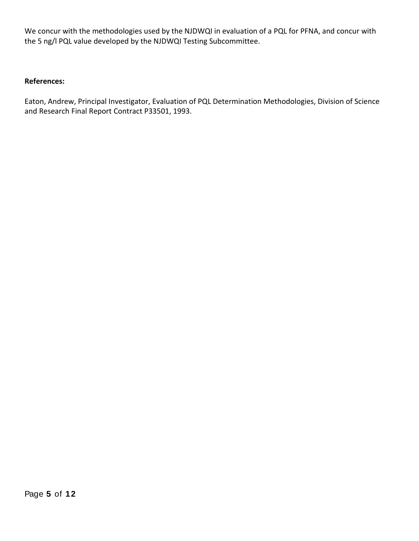We concur with the methodologies used by the NJDWQI in evaluation of a PQL for PFNA, and concur with the 5 ng/l PQL value developed by the NJDWQI Testing Subcommittee.

#### **References:**

Eaton, Andrew, Principal Investigator, Evaluation of PQL Determination Methodologies, Division of Science and Research Final Report Contract P33501, 1993.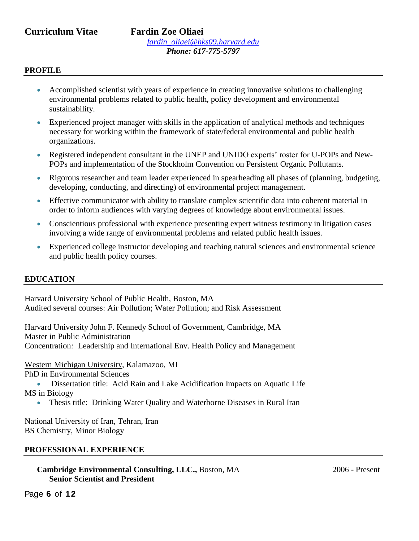**Curriculum Vitae Fardin Zoe Oliaei** *[fardin\\_oliaei@hks09.harvard.edu](mailto:fardin_oliaei@hks09.harvard.edu) Phone: 617-775-5797*

### **PROFILE**

- Accomplished scientist with years of experience in creating innovative solutions to challenging environmental problems related to public health, policy development and environmental sustainability.
- Experienced project manager with skills in the application of analytical methods and techniques necessary for working within the framework of state/federal environmental and public health organizations.
- Registered independent consultant in the UNEP and UNIDO experts' roster for U-POPs and New-POPs and implementation of the Stockholm Convention on Persistent Organic Pollutants.
- Rigorous researcher and team leader experienced in spearheading all phases of (planning, budgeting, developing, conducting, and directing) of environmental project management.
- Effective communicator with ability to translate complex scientific data into coherent material in order to inform audiences with varying degrees of knowledge about environmental issues.
- Conscientious professional with experience presenting expert witness testimony in litigation cases involving a wide range of environmental problems and related public health issues.
- Experienced college instructor developing and teaching natural sciences and environmental science and public health policy courses.

### **EDUCATION**

Harvard University School of Public Health, Boston, MA Audited several courses: Air Pollution; Water Pollution; and Risk Assessment

Harvard University John F. Kennedy School of Government, Cambridge, MA Master in Public Administration Concentration*:* Leadership and International Env. Health Policy and Management

Western Michigan University, Kalamazoo, MI

PhD in Environmental Sciences

 Dissertation title: Acid Rain and Lake Acidification Impacts on Aquatic Life MS in Biology

Thesis title: Drinking Water Quality and Waterborne Diseases in Rural Iran

National University of Iran, Tehran, Iran BS Chemistry, Minor Biology

### **PROFESSIONAL EXPERIENCE**

**Cambridge Environmental Consulting, LLC., Boston, MA 2006 - Present Senior Scientist and President**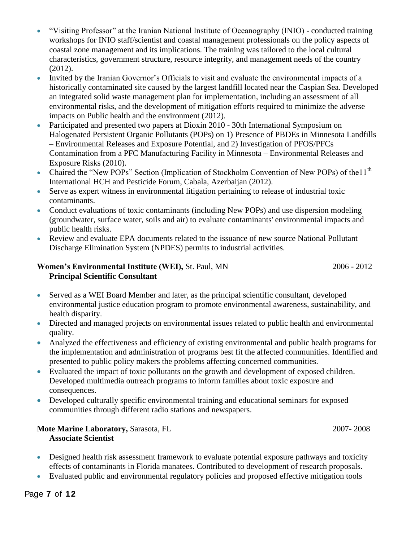- "Visiting Professor" at the Iranian National Institute of Oceanography (INIO) conducted training workshops for INIO staff/scientist and coastal management professionals on the policy aspects of coastal zone management and its implications. The training was tailored to the local cultural characteristics, government structure, resource integrity, and management needs of the country (2012).
- Invited by the Iranian Governor's Officials to visit and evaluate the environmental impacts of a historically contaminated site caused by the largest landfill located near the Caspian Sea. Developed an integrated solid waste management plan for implementation, including an assessment of all environmental risks, and the development of mitigation efforts required to minimize the adverse impacts on Public health and the environment (2012).
- Participated and presented two papers at Dioxin 2010 30th International Symposium on Halogenated Persistent Organic Pollutants (POPs) on 1) Presence of PBDEs in Minnesota Landfills – Environmental Releases and Exposure Potential, and 2) Investigation of PFOS/PFCs Contamination from a PFC Manufacturing Facility in Minnesota – Environmental Releases and Exposure Risks (2010).
- Chaired the "New POPs" Section (Implication of Stockholm Convention of New POPs) of the 11<sup>th</sup> International HCH and Pesticide Forum, Cabala, Azerbaijan (2012).
- Serve as expert witness in environmental litigation pertaining to release of industrial toxic contaminants.
- Conduct evaluations of toxic contaminants (including New POPs) and use dispersion modeling (groundwater, surface water, soils and air) to evaluate contaminants' environmental impacts and public health risks.
- Review and evaluate EPA documents related to the issuance of new source National Pollutant Discharge Elimination System (NPDES) permits to industrial activities.

# **Women's Environmental Institute (WEI),** St. Paul, MN 2006 - 2012 **Principal Scientific Consultant**

- Served as a WEI Board Member and later, as the principal scientific consultant, developed environmental justice education program to promote environmental awareness, sustainability, and health disparity.
- Directed and managed projects on environmental issues related to public health and environmental quality.
- Analyzed the effectiveness and efficiency of existing environmental and public health programs for the implementation and administration of programs best fit the affected communities. Identified and presented to public policy makers the problems affecting concerned communities.
- Evaluated the impact of toxic pollutants on the growth and development of exposed children. Developed multimedia outreach programs to inform families about toxic exposure and consequences.
- Developed culturally specific environmental training and educational seminars for exposed communities through different radio stations and newspapers.

# **Mote Marine Laboratory, Sarasota, FL 2007-2008 Associate Scientist**

- Designed health risk assessment framework to evaluate potential exposure pathways and toxicity effects of contaminants in Florida manatees. Contributed to development of research proposals.
- Evaluated public and environmental regulatory policies and proposed effective mitigation tools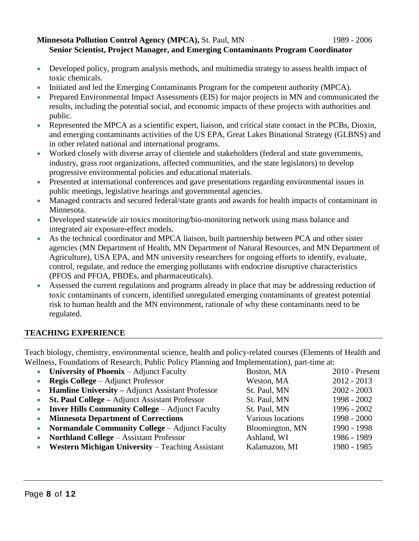### **Minnesota Pollution Control Agency (MPCA), St. Paul, MN 1989 - 2006 Senior Scientist, Project Manager, and Emerging Contaminants Program Coordinator**

- Developed policy, program analysis methods, and multimedia strategy to assess health impact of toxic chemicals.
- Initiated and led the Emerging Contaminants Program for the competent authority (MPCA).
- Prepared Environmental Impact Assessments (EIS) for major projects in MN and communicated the results, including the potential social, and economic impacts of these projects with authorities and public.
- Represented the MPCA as a scientific expert, liaison, and critical state contact in the PCBs, Dioxin, and emerging contaminants activities of the US EPA, Great Lakes Binational Strategy (GLBNS) and in other related national and international programs.
- Worked closely with diverse array of clientele and stakeholders (federal and state governments, industry, grass root organizations, affected communities, and the state legislators) to develop progressive environmental policies and educational materials.
- Presented at international conferences and gave presentations regarding environmental issues in public meetings, legislative hearings and governmental agencies.
- Managed contracts and secured federal/state grants and awards for health impacts of contaminant in Minnesota.
- Developed statewide air toxics monitoring/bio-monitoring network using mass balance and integrated air exposure-effect models.
- As the technical coordinator and MPCA liaison, built partnership between PCA and other sister agencies (MN Department of Health, MN Department of Natural Resources, and MN Department of Agriculture), USA EPA, and MN university researchers for ongoing efforts to identify, evaluate, control, regulate, and reduce the emerging pollutants with endocrine disruptive characteristics (PFOS and PFOA, PBDEs, and pharmaceuticals).
- Assessed the current regulations and programs already in place that may be addressing reduction of toxic contaminants of concern, identified unregulated emerging contaminants of greatest potential risk to human health and the MN environment, rationale of why these contaminants need to be regulated.

# **TEACHING EXPERIENCE**

Teach biology, chemistry, environmental science, health and policy-related courses (Elements of Health and Wellness, Foundations of Research, Public Policy Planning and Implementation), part-time at:

| $\bullet$ | University of Phoenix - Adjunct Faculty                 | Boston, MA        | 2010 - Present |
|-----------|---------------------------------------------------------|-------------------|----------------|
| $\bullet$ | <b>Regis College</b> – Adjunct Professor                | Weston, MA        | $2012 - 2013$  |
|           | <b>Hamline University – Adjunct Assistant Professor</b> | St. Paul, MN      | $2002 - 2003$  |
| $\bullet$ | St. Paul College - Adjunct Assistant Professor          | St. Paul, MN      | 1998 - 2002    |
| $\bullet$ | <b>Inver Hills Community College – Adjunct Faculty</b>  | St. Paul, MN      | 1996 - 2002    |
| $\bullet$ | <b>Minnesota Department of Corrections</b>              | Various locations | 1998 - 2000    |
| $\bullet$ | Normandale Community College - Adjunct Faculty          | Bloomington, MN   | 1990 - 1998    |
| $\bullet$ | <b>Northland College – Assistant Professor</b>          | Ashland, WI       | 1986 - 1989    |
| $\bullet$ | <b>Western Michigan University – Teaching Assistant</b> | Kalamazoo, MI     | 1980 - 1985    |
|           |                                                         |                   |                |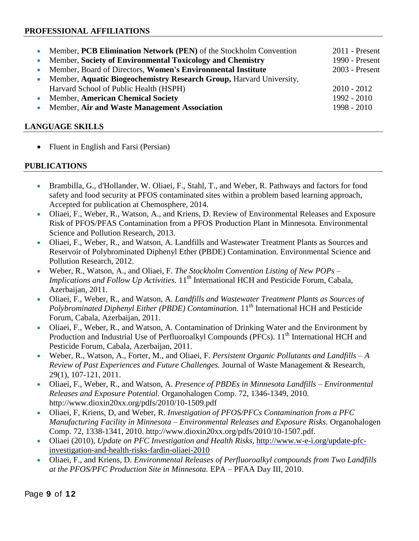# **PROFESSIONAL AFFILIATIONS**

| • Member, PCB Elimination Network (PEN) of the Stockholm Convention   | $2011$ - Present |
|-----------------------------------------------------------------------|------------------|
| • Member, Society of Environmental Toxicology and Chemistry           | 1990 - Present   |
| • Member, Board of Directors, Women's Environmental Institute         | 2003 - Present   |
| • Member, Aquatic Biogeochemistry Research Group, Harvard University, |                  |
| Harvard School of Public Health (HSPH)                                | $2010 - 2012$    |
| • Member, American Chemical Society                                   | $1992 - 2010$    |
| • Member, Air and Waste Management Association                        | $1998 - 2010$    |
|                                                                       |                  |

# **LANGUAGE SKILLS**

• Fluent in English and Farsi (Persian)

# **PUBLICATIONS**

- Brambilla, G., d'Hollander, W. Oliaei, F., Stahl, T., and Weber, R. Pathways and factors for food safety and food security at PFOS contaminated sites within a problem based learning approach, Accepted for publication at Chemosphere, 2014.
- Oliaei, F., Weber, R., Watson, A., and Kriens, D. Review of Environmental Releases and Exposure Risk of PFOS/PFAS Contamination from a PFOS Production Plant in Minnesota. Environmental Science and Pollution Research, 2013.
- Oliaei, F., Weber, R., and Watson, A. Landfills and Wastewater Treatment Plants as Sources and Reservoir of Polybrominated Diphenyl Ether (PBDE) Contamination. Environmental Science and Pollution Research, 2012.
- Weber, R., Watson, A., and Oliaei, F. *The Stockholm Convention Listing of New POPs – Implications and Follow Up Activities.* 11<sup>th</sup> International HCH and Pesticide Forum, Cabala, Azerbaijan, 2011.
- Oliaei, F., Weber, R., and Watson, A. *Landfills and Wastewater Treatment Plants as Sources of*  Polybrominated Diphenyl Either (PBDE) Contamination. 11<sup>th</sup> International HCH and Pesticide Forum, Cabala, Azerbaijan, 2011.
- Oliaei, F., Weber, R., and Watson, A. Contamination of Drinking Water and the Environment by Production and Industrial Use of Perfluoroalkyl Compounds (PFCs). 11<sup>th</sup> International HCH and Pesticide Forum, Cabala, Azerbaijan, 2011.
- Weber, R., Watson, A., Forter, M., and Oliaei, F. *Persistent Organic Pollutants and Landfills – A Review of Past Experiences and Future Challenges.* Journal of Waste Management & Research, 29(1), 107-121, 2011.
- Oliaei, F., Weber, R., and Watson, A. *Presence of PBDEs in Minnesota Landfills – Environmental Releases and Exposure Potential.* Organohalogen Comp. 72, 1346-1349, 2010. http://www.dioxin20xx.org/pdfs/2010/10-1509.pdf
- Oliaei, F, Kriens, D, and Weber, R. *Investigation of PFOS/PFCs Contamination from a PFC Manufacturing Facility in Minnesota – Environmental Releases and Exposure Risks.* Organohalogen Comp. 72, 1338-1341, 2010. http://www.dioxin20xx.org/pdfs/2010/10-1507.pdf.
- Oliaei (2010), *Update on PFC Investigation and Health Risks,* [http://www.w-e-i.org/update-pfc](http://www.w-e-i.org/update-pfc-investigation-and-health-risks-fardin-oliaei-2010)[investigation-and-health-risks-fardin-oliaei-2010](http://www.w-e-i.org/update-pfc-investigation-and-health-risks-fardin-oliaei-2010)
- Oliaei, F., and Kriens, D. *Environmental Releases of Perfluoroalkyl compounds from Two Landfills at the PFOS/PFC Production Site in Minnesota.* EPA – PFAA Day III, 2010.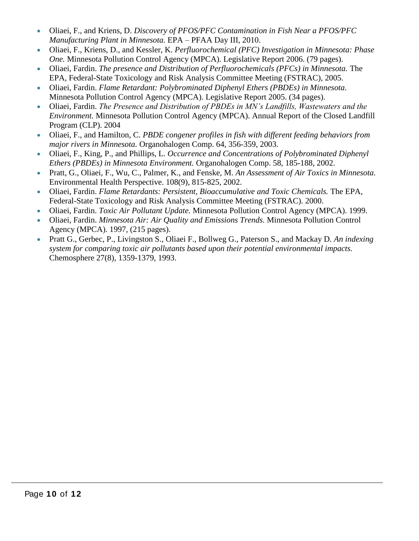- Oliaei, F., and Kriens, D. *Discovery of PFOS/PFC Contamination in Fish Near a PFOS/PFC Manufacturing Plant in Minnesota.* EPA – PFAA Day III, 2010.
- Oliaei, F., Kriens, D., and Kessler, K. *Perfluorochemical (PFC) Investigation in Minnesota: Phase One.* Minnesota Pollution Control Agency (MPCA). Legislative Report 2006. (79 pages).
- Oliaei, Fardin. *The presence and Distribution of Perfluorochemicals (PFCs) in Minnesota.* The EPA, Federal-State Toxicology and Risk Analysis Committee Meeting (FSTRAC), 2005.
- Oliaei, Fardin. *Flame Retardant: Polybrominated Diphenyl Ethers (PBDEs) in Minnesota.*  Minnesota Pollution Control Agency (MPCA). Legislative Report 2005. (34 pages).
- Oliaei, Fardin. *The Presence and Distribution of PBDEs in MN's Landfills, Wastewaters and the Environment.* Minnesota Pollution Control Agency (MPCA). Annual Report of the Closed Landfill Program (CLP). 2004
- Oliaei, F., and Hamilton, C. *PBDE congener profiles in fish with different feeding behaviors from major rivers in Minnesota.* Organohalogen Comp. 64, 356-359, 2003.
- Oliaei, F., King, P., and Phillips, L. *Occurrence and Concentrations of Polybrominated Diphenyl Ethers (PBDEs) in Minnesota Environment.* Organohalogen Comp. 58, 185-188, 2002.
- Pratt, G., Oliaei, F., Wu, C., Palmer, K., and Fenske, M. *An Assessment of Air Toxics in Minnesota.*  Environmental Health Perspective. 108(9), 815-825, 2002.
- Oliaei, Fardin. *Flame Retardants: Persistent, Bioaccumulative and Toxic Chemicals.* The EPA, Federal-State Toxicology and Risk Analysis Committee Meeting (FSTRAC). 2000.
- Oliaei, Fardin. *Toxic Air Pollutant Update.* Minnesota Pollution Control Agency (MPCA). 1999.
- Oliaei, Fardin. *Minnesota Air: Air Quality and Emissions Trends.* Minnesota Pollution Control Agency (MPCA). 1997, (215 pages).
- Pratt G., Gerbec, P., Livingston S., Oliaei F., Bollweg G., Paterson S., and Mackay D. *An indexing system for comparing toxic air pollutants based upon their potential environmental impacts.*  Chemosphere 27(8), 1359-1379, 1993.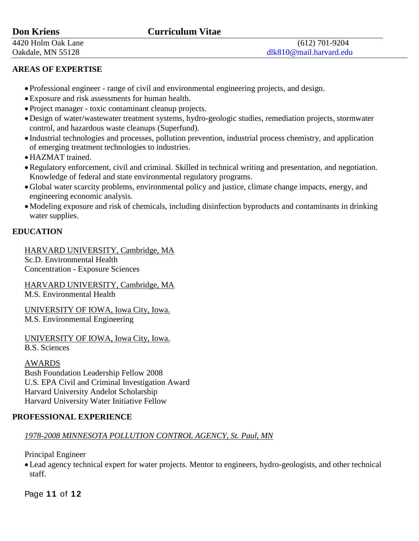# **Don Kriens Curriculum Vitae**

# **AREAS OF EXPERTISE**

- Professional engineer range of civil and environmental engineering projects, and design.
- Exposure and risk assessments for human health.
- Project manager toxic contaminant cleanup projects.
- Design of water/wastewater treatment systems, hydro-geologic studies, remediation projects, stormwater control, and hazardous waste cleanups (Superfund).
- Industrial technologies and processes, pollution prevention, industrial process chemistry, and application of emerging treatment technologies to industries.
- HAZMAT trained.
- Regulatory enforcement, civil and criminal. Skilled in technical writing and presentation, and negotiation. Knowledge of federal and state environmental regulatory programs.
- Global water scarcity problems, environmental policy and justice, climate change impacts, energy, and engineering economic analysis.
- Modeling exposure and risk of chemicals, including disinfection byproducts and contaminants in drinking water supplies.

# **EDUCATION**

HARVARD UNIVERSITY, Cambridge, MA Sc.D. Environmental Health Concentration - Exposure Sciences

HARVARD UNIVERSITY, Cambridge, MA M.S. Environmental Health

UNIVERSITY OF IOWA, Iowa City, Iowa. M.S. Environmental Engineering

UNIVERSITY OF IOWA, Iowa City, Iowa.

B.S. Sciences

# AWARDS

Bush Foundation Leadership Fellow 2008 U.S. EPA Civil and Criminal Investigation Award Harvard University Andelot Scholarship Harvard University Water Initiative Fellow

# **PROFESSIONAL EXPERIENCE**

# *1978-2008 MINNESOTA POLLUTION CONTROL AGENCY, St. Paul, MN*

Principal Engineer

Lead agency technical expert for water projects. Mentor to engineers, hydro-geologists, and other technical staff.

Page **11** of **12**